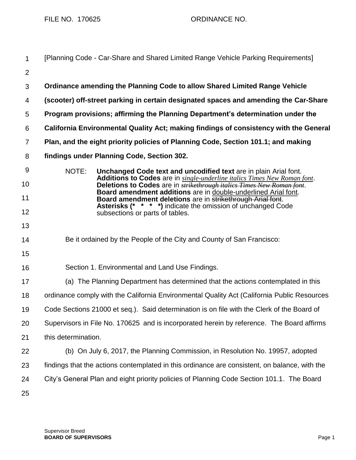FILE NO. 170625 ORDINANCE NO.

| $\mathbf 1$    | [Planning Code - Car-Share and Shared Limited Range Vehicle Parking Requirements]                                                                         |
|----------------|-----------------------------------------------------------------------------------------------------------------------------------------------------------|
| $\overline{2}$ |                                                                                                                                                           |
| 3              | Ordinance amending the Planning Code to allow Shared Limited Range Vehicle                                                                                |
| 4              | (scooter) off-street parking in certain designated spaces and amending the Car-Share                                                                      |
| 5              | Program provisions; affirming the Planning Department's determination under the                                                                           |
| 6              | California Environmental Quality Act; making findings of consistency with the General                                                                     |
| $\overline{7}$ | Plan, and the eight priority policies of Planning Code, Section 101.1; and making                                                                         |
| 8              | findings under Planning Code, Section 302.                                                                                                                |
| 9              | NOTE:<br>Unchanged Code text and uncodified text are in plain Arial font.                                                                                 |
| 10             | Additions to Codes are in single-underline italics Times New Roman font.<br>Deletions to Codes are in <b>strikethrough italics Times New Roman font</b> . |
| 11             | Board amendment additions are in double-underlined Arial font.<br>Board amendment deletions are in strikethrough Arial font.                              |
| 12             | Asterisks (* * * *) indicate the omission of unchanged Code<br>subsections or parts of tables.                                                            |
| 13             |                                                                                                                                                           |
| 14             | Be it ordained by the People of the City and County of San Francisco:                                                                                     |
| 15             |                                                                                                                                                           |
| 16             | Section 1. Environmental and Land Use Findings.                                                                                                           |
| 17             | (a) The Planning Department has determined that the actions contemplated in this                                                                          |
| 18             | ordinance comply with the California Environmental Quality Act (California Public Resources                                                               |
| 19             | Code Sections 21000 et seq.). Said determination is on file with the Clerk of the Board of                                                                |
| 20             | Supervisors in File No. 170625 and is incorporated herein by reference. The Board affirms                                                                 |
| 21             | this determination.                                                                                                                                       |
| 22             | (b) On July 6, 2017, the Planning Commission, in Resolution No. 19957, adopted                                                                            |
| 23             | findings that the actions contemplated in this ordinance are consistent, on balance, with the                                                             |
| 24             | City's General Plan and eight priority policies of Planning Code Section 101.1. The Board                                                                 |
| 25             |                                                                                                                                                           |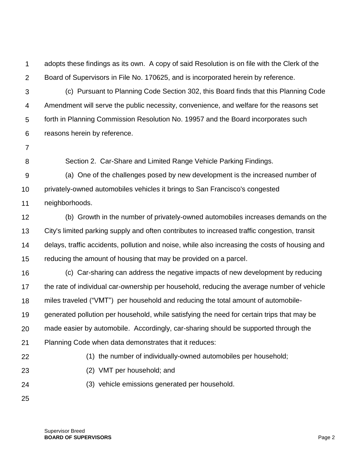1  $\mathcal{P}$ adopts these findings as its own. A copy of said Resolution is on file with the Clerk of the Board of Supervisors in File No. 170625, and is incorporated herein by reference.

3 4 5 6 (c) Pursuant to Planning Code Section 302, this Board finds that this Planning Code Amendment will serve the public necessity, convenience, and welfare for the reasons set forth in Planning Commission Resolution No. 19957 and the Board incorporates such reasons herein by reference.

7

8

Section 2. Car-Share and Limited Range Vehicle Parking Findings.

9 10 (a) One of the challenges posed by new development is the increased number of privately-owned automobiles vehicles it brings to San Francisco's congested

11 neighborhoods.

12 13 14 15 (b) Growth in the number of privately-owned automobiles increases demands on the City's limited parking supply and often contributes to increased traffic congestion, transit delays, traffic accidents, pollution and noise, while also increasing the costs of housing and reducing the amount of housing that may be provided on a parcel.

16 17 18 19 20 21 22 23 24 (c) Car-sharing can address the negative impacts of new development by reducing the rate of individual car-ownership per household, reducing the average number of vehicle miles traveled ("VMT") per household and reducing the total amount of automobilegenerated pollution per household, while satisfying the need for certain trips that may be made easier by automobile. Accordingly, car-sharing should be supported through the Planning Code when data demonstrates that it reduces: (1) the number of individually-owned automobiles per household; (2) VMT per household; and (3) vehicle emissions generated per household.

25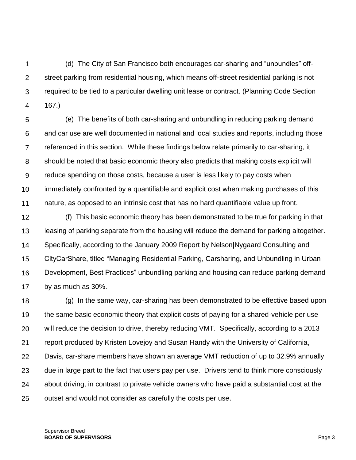1  $\mathcal{P}$ 3 4 (d) The City of San Francisco both encourages car-sharing and "unbundles" offstreet parking from residential housing, which means off-street residential parking is not required to be tied to a particular dwelling unit lease or contract. (Planning Code Section 167.)

5 6 7 8 9 10 11 (e) The benefits of both car-sharing and unbundling in reducing parking demand and car use are well documented in national and local studies and reports, including those referenced in this section. While these findings below relate primarily to car-sharing, it should be noted that basic economic theory also predicts that making costs explicit will reduce spending on those costs, because a user is less likely to pay costs when immediately confronted by a quantifiable and explicit cost when making purchases of this nature, as opposed to an intrinsic cost that has no hard quantifiable value up front.

12 13 14 15 16 17 (f) This basic economic theory has been demonstrated to be true for parking in that leasing of parking separate from the housing will reduce the demand for parking altogether. Specifically, according to the January 2009 Report by Nelson|Nygaard Consulting and CityCarShare, titled "Managing Residential Parking, Carsharing, and Unbundling in Urban Development, Best Practices" unbundling parking and housing can reduce parking demand by as much as 30%.

18 19 20 21 22 23 24 25 (g) In the same way, car-sharing has been demonstrated to be effective based upon the same basic economic theory that explicit costs of paying for a shared-vehicle per use will reduce the decision to drive, thereby reducing VMT. Specifically, according to a 2013 report produced by Kristen Lovejoy and Susan Handy with the University of California, Davis, car-share members have shown an average VMT reduction of up to 32.9% annually due in large part to the fact that users pay per use. Drivers tend to think more consciously about driving, in contrast to private vehicle owners who have paid a substantial cost at the outset and would not consider as carefully the costs per use.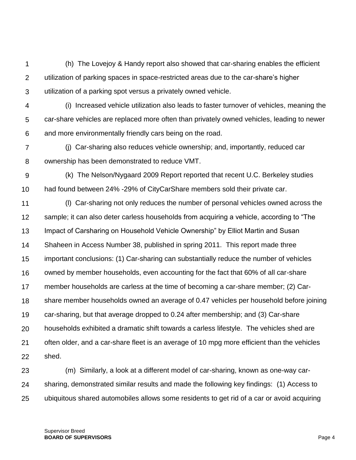1  $\mathcal{P}$ 3 (h) The Lovejoy & Handy report also showed that car-sharing enables the efficient utilization of parking spaces in space-restricted areas due to the car-share's higher utilization of a parking spot versus a privately owned vehicle.

4 5 6 (i) Increased vehicle utilization also leads to faster turnover of vehicles, meaning the car-share vehicles are replaced more often than privately owned vehicles, leading to newer and more environmentally friendly cars being on the road.

7 8 (j) Car-sharing also reduces vehicle ownership; and, importantly, reduced car ownership has been demonstrated to reduce VMT.

9 10 (k) The Nelson/Nygaard 2009 Report reported that recent U.C. Berkeley studies had found between 24% -29% of CityCarShare members sold their private car.

11 12 13 14 15 16 17 18 19 20 21 22 (l) Car-sharing not only reduces the number of personal vehicles owned across the sample; it can also deter carless households from acquiring a vehicle, according to "The Impact of Carsharing on Household Vehicle Ownership" by Elliot Martin and Susan Shaheen in Access Number 38, published in spring 2011. This report made three important conclusions: (1) Car-sharing can substantially reduce the number of vehicles owned by member households, even accounting for the fact that 60% of all car-share member households are carless at the time of becoming a car-share member; (2) Carshare member households owned an average of 0.47 vehicles per household before joining car-sharing, but that average dropped to 0.24 after membership; and (3) Car-share households exhibited a dramatic shift towards a carless lifestyle. The vehicles shed are often older, and a car-share fleet is an average of 10 mpg more efficient than the vehicles shed.

23 24 25 (m) Similarly, a look at a different model of car-sharing, known as one-way carsharing, demonstrated similar results and made the following key findings: (1) Access to ubiquitous shared automobiles allows some residents to get rid of a car or avoid acquiring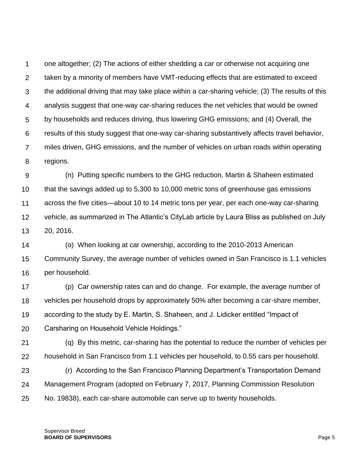1  $\mathcal{P}$ 3 4 5 6 7 8 one altogether; (2) The actions of either shedding a car or otherwise not acquiring one taken by a minority of members have VMT-reducing effects that are estimated to exceed the additional driving that may take place within a car-sharing vehicle; (3) The results of this analysis suggest that one-way car-sharing reduces the net vehicles that would be owned by households and reduces driving, thus lowering GHG emissions; and (4) Overall, the results of this study suggest that one-way car-sharing substantively affects travel behavior, miles driven, GHG emissions, and the number of vehicles on urban roads within operating regions.

9 10 11 12 13 (n) Putting specific numbers to the GHG reduction, Martin & Shaheen estimated that the savings added up to 5,300 to 10,000 metric tons of greenhouse gas emissions across the five cities—about 10 to 14 metric tons per year, per each one-way car-sharing vehicle, as summarized in The Atlantic's CityLab article by Laura Bliss as published on July 20, 2016.

14 15 16 (o) When looking at car ownership, according to the 2010-2013 American Community Survey, the average number of vehicles owned in San Francisco is 1.1 vehicles per household.

17 18 19 20 (p) Car ownership rates can and do change. For example, the average number of vehicles per household drops by approximately 50% after becoming a car-share member, according to the study by E. Martin, S. Shaheen, and J. Lidicker entitled "Impact of Carsharing on Household Vehicle Holdings."

21 22 (q) By this metric, car-sharing has the potential to reduce the number of vehicles per household in San Francisco from 1.1 vehicles per household, to 0.55 cars per household.

23 24 25 (r) According to the San Francisco Planning Department's Transportation Demand Management Program (adopted on February 7, 2017, Planning Commission Resolution No. 19838), each car-share automobile can serve up to twenty households.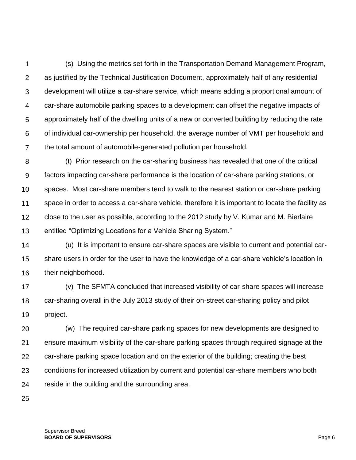1  $\mathcal{P}$ 3 4 5 6 7 (s) Using the metrics set forth in the Transportation Demand Management Program, as justified by the Technical Justification Document, approximately half of any residential development will utilize a car-share service, which means adding a proportional amount of car-share automobile parking spaces to a development can offset the negative impacts of approximately half of the dwelling units of a new or converted building by reducing the rate of individual car-ownership per household, the average number of VMT per household and the total amount of automobile-generated pollution per household.

8 9 10 11 12 13 (t) Prior research on the car-sharing business has revealed that one of the critical factors impacting car-share performance is the location of car-share parking stations, or spaces. Most car-share members tend to walk to the nearest station or car-share parking space in order to access a car-share vehicle, therefore it is important to locate the facility as close to the user as possible, according to the 2012 study by V. Kumar and M. Bierlaire entitled "Optimizing Locations for a Vehicle Sharing System."

14 15 16 (u) It is important to ensure car-share spaces are visible to current and potential carshare users in order for the user to have the knowledge of a car-share vehicle's location in their neighborhood.

17 18 19 (v) The SFMTA concluded that increased visibility of car-share spaces will increase car-sharing overall in the July 2013 study of their on-street car-sharing policy and pilot project.

20 21 22 23 24 (w) The required car-share parking spaces for new developments are designed to ensure maximum visibility of the car-share parking spaces through required signage at the car-share parking space location and on the exterior of the building; creating the best conditions for increased utilization by current and potential car-share members who both reside in the building and the surrounding area.

25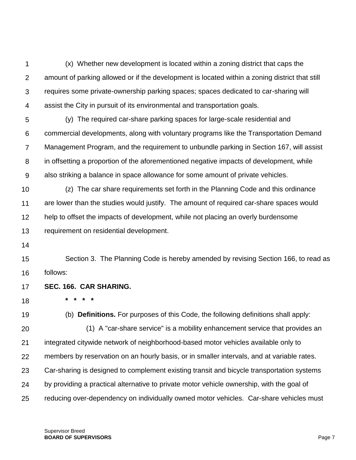1  $\mathcal{P}$ 3 4 (x) Whether new development is located within a zoning district that caps the amount of parking allowed or if the development is located within a zoning district that still requires some private-ownership parking spaces; spaces dedicated to car-sharing will assist the City in pursuit of its environmental and transportation goals.

5 6 7 8 9 (y) The required car-share parking spaces for large-scale residential and commercial developments, along with voluntary programs like the Transportation Demand Management Program, and the requirement to unbundle parking in Section 167, will assist in offsetting a proportion of the aforementioned negative impacts of development, while also striking a balance in space allowance for some amount of private vehicles.

10 11 12 13 (z) The car share requirements set forth in the Planning Code and this ordinance are lower than the studies would justify. The amount of required car-share spaces would help to offset the impacts of development, while not placing an overly burdensome requirement on residential development.

14

15 16 Section 3. The Planning Code is hereby amended by revising Section 166, to read as follows:

17 **SEC. 166. CAR SHARING.**

**\* \* \* \***

18

19 (b) **Definitions.** For purposes of this Code, the following definitions shall apply:

20 21 22 23 24 25 (1) A "car-share service" is a mobility enhancement service that provides an integrated citywide network of neighborhood-based motor vehicles available only to members by reservation on an hourly basis, or in smaller intervals, and at variable rates. Car-sharing is designed to complement existing transit and bicycle transportation systems by providing a practical alternative to private motor vehicle ownership, with the goal of reducing over-dependency on individually owned motor vehicles. Car-share vehicles must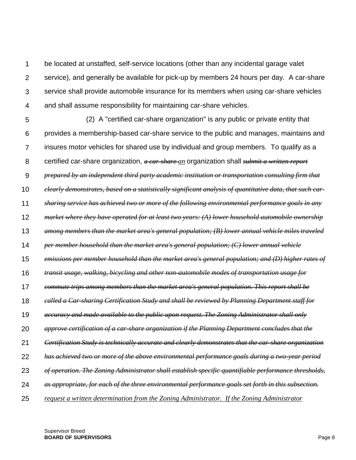1  $\mathcal{P}$ 3 4 be located at unstaffed, self-service locations (other than any incidental garage valet service), and generally be available for pick-up by members 24 hours per day. A car-share service shall provide automobile insurance for its members when using car-share vehicles and shall assume responsibility for maintaining car-share vehicles.

5 6 7 8 9 10 11 12 13 14 15 16 17 18 19 20 21 22 23 24 25 (2) A "certified car-share organization" is any public or private entity that provides a membership-based car-share service to the public and manages, maintains and insures motor vehicles for shared use by individual and group members. To qualify as a certified car-share organization, *a car-share an* organization shall *submit a written report prepared by an independent third party academic institution or transportation consulting firm that clearly demonstrates, based on a statistically significant analysis of quantitative data, that such carsharing service has achieved two or more of the following environmental performance goals in any market where they have operated for at least two years: (A) lower household automobile ownership among members than the market area's general population; (B) lower annual vehicle miles traveled per member household than the market area's general population; (C) lower annual vehicle emissions per member household than the market area's general population; and (D) higher rates of transit usage, walking, bicycling and other non-automobile modes of transportation usage for commute trips among members than the market area's general population. This report shall be called a Car-sharing Certification Study and shall be reviewed by Planning Department staff for accuracy and made available to the public upon request. The Zoning Administrator shall only approve certification of a car-share organization if the Planning Department concludes that the Certification Study is technically accurate and clearly demonstrates that the car-share organization has achieved two or more of the above environmental performance goals during a two-year period of operation. The Zoning Administrator shall establish specific quantifiable performance thresholds, as appropriate, for each of the three environmental performance goals set forth in this subsection. request a written determination from the Zoning Administrator. If the Zoning Administrator*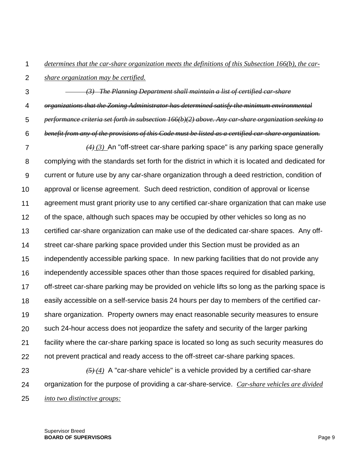1 *determines that the car-share organization meets the definitions of this Subsection 166(b), the car-*

 $\mathcal{P}$ *share organization may be certified.*

3 4 5 *(3) The Planning Department shall maintain a list of certified car-share organizations that the Zoning Administrator has determined satisfy the minimum environmental performance criteria set forth in subsection [166\(](http://library.amlegal.com/nxt/gateway.dll?f=jumplink$jumplink_x=Advanced$jumplink_vpc=first$jumplink_xsl=querylink.xsl$jumplink_sel=title;path;content-type;home-title;item-bookmark$jumplink_d=california(planning)$jumplink_q=%5bfield%20folio-destination-name:)b)(2) above. Any car-share organization seeking to* 

6 *benefit from any of the provisions of this Code must be listed as a certified car-share organization.*

7 8 9 10 11 12 13 14 15 16 17 18 19 20 21 22 23 *(4) (3)* An "off-street car-share parking space" is any parking space generally complying with the standards set forth for the district in which it is located and dedicated for current or future use by any car-share organization through a deed restriction, condition of approval or license agreement. Such deed restriction, condition of approval or license agreement must grant priority use to any certified car-share organization that can make use of the space, although such spaces may be occupied by other vehicles so long as no certified car-share organization can make use of the dedicated car-share spaces. Any offstreet car-share parking space provided under this Section must be provided as an independently accessible parking space. In new parking facilities that do not provide any independently accessible spaces other than those spaces required for disabled parking, off-street car-share parking may be provided on vehicle lifts so long as the parking space is easily accessible on a self-service basis 24 hours per day to members of the certified carshare organization. Property owners may enact reasonable security measures to ensure such 24-hour access does not jeopardize the safety and security of the larger parking facility where the car-share parking space is located so long as such security measures do not prevent practical and ready access to the off-street car-share parking spaces. *(5) (4)* A "car-share vehicle" is a vehicle provided by a certified car-share

24 organization for the purpose of providing a car-share-service. *Car-share vehicles are divided* 

25 *into two distinctive groups:*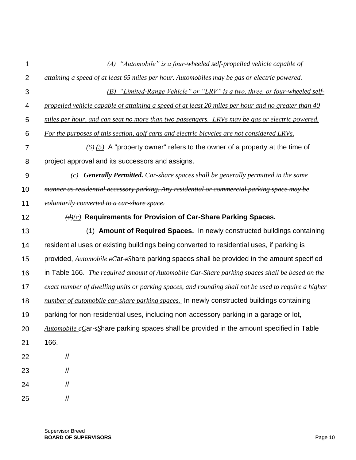| 1              | (A) "Automobile" is a four-wheeled self-propelled vehicle capable of                                                 |
|----------------|----------------------------------------------------------------------------------------------------------------------|
| $\overline{2}$ | attaining a speed of at least 65 miles per hour. Automobiles may be gas or electric powered.                         |
| 3              | (B) "Limited-Range Vehicle" or "LRV" is a two, three, or four-wheeled self-                                          |
| 4              | propelled vehicle capable of attaining a speed of at least 20 miles per hour and no greater than 40                  |
| 5              | miles per hour, and can seat no more than two passengers. LRVs may be gas or electric powered.                       |
| $\,6$          | For the purposes of this section, golf carts and electric bicycles are not considered LRVs.                          |
| $\overline{7}$ | $(6)$ (5) A "property owner" refers to the owner of a property at the time of                                        |
| $\,8\,$        | project approval and its successors and assigns.                                                                     |
| $9\,$          | $\overline{e}$ Generally Permitted. Car-share spaces shall be generally permitted in the same                        |
| 10             | manner as residential accessory parking. Any residential or commercial parking space may be                          |
| 11             | voluntarily converted to a car-share space.                                                                          |
| 12             | $(d)(c)$ Requirements for Provision of Car-Share Parking Spaces.                                                     |
| 13             | (1) Amount of Required Spaces. In newly constructed buildings containing                                             |
| 14             | residential uses or existing buildings being converted to residential uses, if parking is                            |
| 15             | provided, $\frac{Automobile \epsilon C}{arg}$ ar- $s$ Share parking spaces shall be provided in the amount specified |
| 16             | in Table 166. <i>The required amount of Automobile Car-Share parking spaces shall be based on the</i>                |
| 17             | exact number of dwelling units or parking spaces, and rounding shall not be used to require a higher                 |
| 18             | number of automobile car-share parking spaces. In newly constructed buildings containing                             |
| 19             | parking for non-residential uses, including non-accessory parking in a garage or lot,                                |
| 20             | Automobile eCar-sShare parking spaces shall be provided in the amount specified in Table                             |
| 21             | 166.                                                                                                                 |
| 22             | $\sqrt{}$                                                                                                            |
| 23             | $\sqrt{2}$                                                                                                           |
| 24             | $\frac{1}{2}$                                                                                                        |
| 25             | $\frac{1}{2}$                                                                                                        |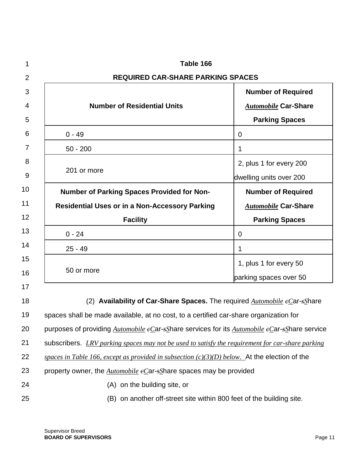| 1              | Table 166                                                                                        |                                                                                                          |  |
|----------------|--------------------------------------------------------------------------------------------------|----------------------------------------------------------------------------------------------------------|--|
| $\overline{2}$ | <b>REQUIRED CAR-SHARE PARKING SPACES</b>                                                         |                                                                                                          |  |
| 3              |                                                                                                  | <b>Number of Required</b>                                                                                |  |
| 4              | <b>Number of Residential Units</b>                                                               | <b>Automobile Car-Share</b>                                                                              |  |
| 5              |                                                                                                  | <b>Parking Spaces</b>                                                                                    |  |
| 6              | $0 - 49$                                                                                         | 0                                                                                                        |  |
| $\overline{7}$ | $50 - 200$                                                                                       | 1                                                                                                        |  |
| 8              |                                                                                                  | 2, plus 1 for every 200                                                                                  |  |
| 9              | 201 or more                                                                                      | dwelling units over 200                                                                                  |  |
| 10             | <b>Number of Parking Spaces Provided for Non-</b>                                                | <b>Number of Required</b>                                                                                |  |
| 11             | <b>Residential Uses or in a Non-Accessory Parking</b>                                            | <b>Automobile Car-Share</b>                                                                              |  |
| 12             | <b>Facility</b>                                                                                  | <b>Parking Spaces</b>                                                                                    |  |
| 13             | $0 - 24$                                                                                         | $\overline{0}$                                                                                           |  |
| 14             | $25 - 49$                                                                                        | 1                                                                                                        |  |
| 15             |                                                                                                  | 1, plus 1 for every 50                                                                                   |  |
| 16             | 50 or more                                                                                       | parking spaces over 50                                                                                   |  |
| 17             |                                                                                                  |                                                                                                          |  |
| 18             | (2) Availability of Car-Share Spaces. The required Automobile $e$ Car-sShare                     |                                                                                                          |  |
| 19             | spaces shall be made available, at no cost, to a certified car-share organization for            |                                                                                                          |  |
| 20             | purposes of providing Automobile eCar-sShare services for its Automobile eCar-sShare service     |                                                                                                          |  |
| 21             | subscribers. LRV parking spaces may not be used to satisfy the requirement for car-share parking |                                                                                                          |  |
| 22             | spaces in Table 166, except as provided in subsection $(c)(3)(D)$ below. At the election of the  |                                                                                                          |  |
| 23             |                                                                                                  | property owner, the $\frac{Automobile \text{ }e\text{}}{c}$ ar- $s\text{}}$ share spaces may be provided |  |
| 24             | (A) on the building site, or                                                                     |                                                                                                          |  |
| 25             | (B) on another off-street site within 800 feet of the building site.                             |                                                                                                          |  |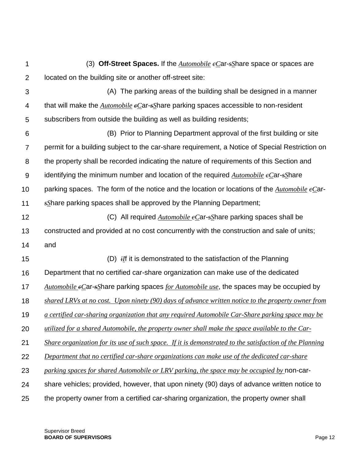| 1               | (3) Off-Street Spaces. If the $\Delta utomobile$ eCar-sShare space or spaces are                              |
|-----------------|---------------------------------------------------------------------------------------------------------------|
| $\overline{2}$  | located on the building site or another off-street site:                                                      |
| 3               | (A) The parking areas of the building shall be designed in a manner                                           |
| 4               | that will make the $\frac{Automobile}{e}$ eCar-s $\frac{s}{s}$ hare parking spaces accessible to non-resident |
| 5               | subscribers from outside the building as well as building residents;                                          |
| $6\phantom{1}6$ | (B) Prior to Planning Department approval of the first building or site                                       |
| 7               | permit for a building subject to the car-share requirement, a Notice of Special Restriction on                |
| 8               | the property shall be recorded indicating the nature of requirements of this Section and                      |
| 9               | identifying the minimum number and location of the required $\Delta utomobile$ eCar-sShare                    |
| 10              | parking spaces. The form of the notice and the location or locations of the $\Delta utomobile$ $e$ Car-       |
| 11              | sShare parking spaces shall be approved by the Planning Department;                                           |
| 12              | (C) All required $\text{Automobile } e$ Car- $\text{s}$ Share parking spaces shall be                         |
| 13              | constructed and provided at no cost concurrently with the construction and sale of units;                     |
| 14              | and                                                                                                           |
| 15              | (D) <i>ilf</i> it is demonstrated to the satisfaction of the Planning                                         |
| 16              | Department that no certified car-share organization can make use of the dedicated                             |
| 17              | Automobile $e$ Car-sShare parking spaces for Automobile use, the spaces may be occupied by                    |
| 18              | shared LRVs at no cost. Upon ninety (90) days of advance written notice to the property owner from            |
| 19              | a certified car-sharing organization that any required Automobile Car-Share parking space may be              |
| 20              | utilized for a shared Automobile, the property owner shall make the space available to the Car-               |
| 21              | Share organization for its use of such space. If it is demonstrated to the satisfaction of the Planning       |
| 22              | Department that no certified car-share organizations can make use of the dedicated car-share                  |
| 23              | parking spaces for shared Automobile or LRV parking, the space may be occupied by non-car-                    |
| 24              | share vehicles; provided, however, that upon ninety (90) days of advance written notice to                    |
| 25              | the property owner from a certified car-sharing organization, the property owner shall                        |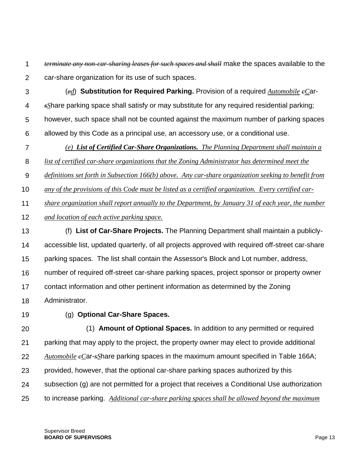1  $\mathcal{P}$ *terminate any non-car-sharing leases for such spaces and shall* make the spaces available to the car-share organization for its use of such spaces.

- 3 4 5 6 (*ed*) **Substitution for Required Parking.** Provision of a required *Automobile cC*ar*sS*hare parking space shall satisfy or may substitute for any required residential parking; however, such space shall not be counted against the maximum number of parking spaces allowed by this Code as a principal use, an accessory use, or a conditional use.
- 7 *(e) List of Certified Car-Share Organizations. The Planning Department shall maintain a*

8 *list of certified car-share organizations that the Zoning Administrator has determined meet the* 

9 *definitions set forth in Subsection 166(b) above. Any car-share organization seeking to benefit from* 

10 *any of the provisions of this Code must be listed as a certified organization. Every certified car-*

11 *share organization shall report annually to the Department, by January 31 of each year, the number* 

- 12 *and location of each active parking space.*
- 13 14 15 16 17 18 (f) **List of Car-Share Projects.** The Planning Department shall maintain a publiclyaccessible list, updated quarterly, of all projects approved with required off-street car-share parking spaces. The list shall contain the Assessor's Block and Lot number, address, number of required off-street car-share parking spaces, project sponsor or property owner contact information and other pertinent information as determined by the Zoning Administrator.
- 19

(g) **Optional Car-Share Spaces.**

20 21 22 23 24 25 (1) **Amount of Optional Spaces.** In addition to any permitted or required parking that may apply to the project, the property owner may elect to provide additional *Automobile cC*ar-*sS*hare parking spaces in the maximum amount specified in [Table 166A;](http://library.amlegal.com/nxt/gateway.dll?f=jumplink$jumplink_x=Advanced$jumplink_vpc=first$jumplink_xsl=querylink.xsl$jumplink_sel=title;path;content-type;home-title;item-bookmark$jumplink_d=california(planning)$jumplink_q=%5bfield%20folio-destination-name:) provided, however, that the optional car-share parking spaces authorized by this subsection (g) are not permitted for a project that receives a Conditional Use authorization to increase parking. *Additional car-share parking spaces shall be allowed beyond the maximum*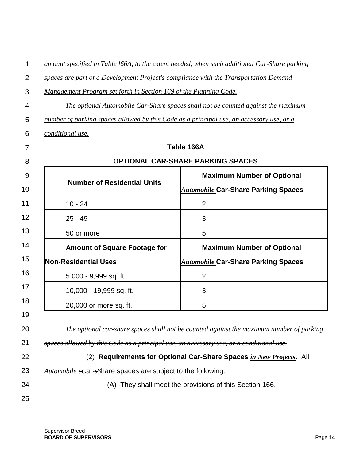| 1  | amount specified in Table 166A, to the extent needed, when such additional Car-Share parking |                                                                                          |  |
|----|----------------------------------------------------------------------------------------------|------------------------------------------------------------------------------------------|--|
| 2  | spaces are part of a Development Project's compliance with the Transportation Demand         |                                                                                          |  |
| 3  | Management Program set forth in Section 169 of the Planning Code.                            |                                                                                          |  |
| 4  | The optional Automobile Car-Share spaces shall not be counted against the maximum            |                                                                                          |  |
| 5  | number of parking spaces allowed by this Code as a principal use, an accessory use, or a     |                                                                                          |  |
| 6  | conditional use.                                                                             |                                                                                          |  |
| 7  |                                                                                              | Table 166A                                                                               |  |
| 8  | <b>OPTIONAL CAR-SHARE PARKING SPACES</b>                                                     |                                                                                          |  |
| 9  | <b>Number of Residential Units</b>                                                           | <b>Maximum Number of Optional</b>                                                        |  |
| 10 |                                                                                              | <b>Automobile Car-Share Parking Spaces</b>                                               |  |
| 11 | $10 - 24$                                                                                    | $\overline{2}$                                                                           |  |
| 12 | $25 - 49$                                                                                    | 3                                                                                        |  |
| 13 | 50 or more                                                                                   | 5                                                                                        |  |
| 14 | <b>Amount of Square Footage for</b>                                                          | <b>Maximum Number of Optional</b>                                                        |  |
| 15 | <b>Non-Residential Uses</b>                                                                  | <b>Automobile Car-Share Parking Spaces</b>                                               |  |
| 16 | 5,000 - 9,999 sq. ft.                                                                        | $\overline{2}$                                                                           |  |
| 17 | 10,000 - 19,999 sq. ft.                                                                      | 3                                                                                        |  |
| 18 | 20,000 or more sq. ft.                                                                       | 5                                                                                        |  |
| 19 |                                                                                              |                                                                                          |  |
| 20 |                                                                                              | The optional car share spaces shall not be counted against the maximum number of parking |  |
| 21 | spaces allowed by this Code as a principal use, an accessory use, or a conditional use.      |                                                                                          |  |
| 22 | (2)                                                                                          | Requirements for Optional Car-Share Spaces in New Projects. All                          |  |
| 23 | Automobile $e$ Car- $s$ Share spaces are subject to the following:                           |                                                                                          |  |
| 24 | (A) They shall meet the provisions of this Section 166.                                      |                                                                                          |  |
| 25 |                                                                                              |                                                                                          |  |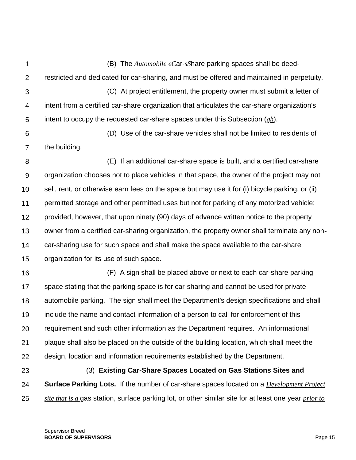1 2 3 4 5 6 (B) The *Automobile cC*ar-*sS*hare parking spaces shall be deedrestricted and dedicated for car-sharing, and must be offered and maintained in perpetuity. (C) At project entitlement, the property owner must submit a letter of intent from a certified car-share organization that articulates the car-share organization's intent to occupy the requested car-share spaces under this Subsection (*gh*). (D) Use of the car-share vehicles shall not be limited to residents of

7 the building.

8 9 10 11 12 13 14 15 (E) If an additional car-share space is built, and a certified car-share organization chooses not to place vehicles in that space, the owner of the project may not sell, rent, or otherwise earn fees on the space but may use it for (i) bicycle parking, or (ii) permitted storage and other permitted uses but not for parking of any motorized vehicle; provided, however, that upon ninety (90) days of advance written notice to the property owner from a certified car-sharing organization, the property owner shall terminate any noncar-sharing use for such space and shall make the space available to the car-share organization for its use of such space.

16 17 18 19 20 21 22 (F) A sign shall be placed above or next to each car-share parking space stating that the parking space is for car-sharing and cannot be used for private automobile parking. The sign shall meet the Department's design specifications and shall include the name and contact information of a person to call for enforcement of this requirement and such other information as the Department requires. An informational plaque shall also be placed on the outside of the building location, which shall meet the design, location and information requirements established by the Department.

23 24 25 (3) **Existing Car-Share Spaces Located on Gas Stations Sites and Surface Parking Lots.** If the number of car-share spaces located on a *Development Project site that is a* gas station, surface parking lot, or other similar site for at least one year *prior to*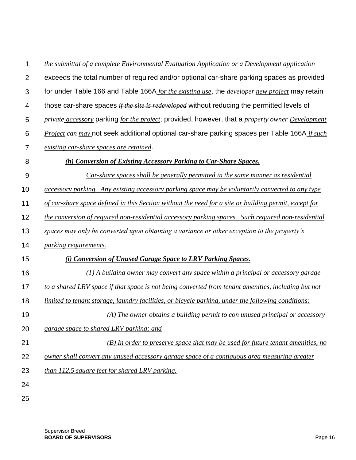| 1              | the submittal of a complete Environmental Evaluation Application or a Development application                         |
|----------------|-----------------------------------------------------------------------------------------------------------------------|
| $\overline{2}$ | exceeds the total number of required and/or optional car-share parking spaces as provided                             |
| 3              | for under Table 166 and Table 166A for the existing use, the developer-new project may retain                         |
| 4              | those car-share spaces <i>if the site is redeveloped</i> without reducing the permitted levels of                     |
| 5              | <i>private accessory</i> parking <i>for the project</i> ; provided, however, that a <i>property owner Development</i> |
| 6              | Project can-may not seek additional optional car-share parking spaces per Table 166A if such                          |
| 7              | existing car-share spaces are retained.                                                                               |
| 8              | (h) Conversion of Existing Accessory Parking to Car-Share Spaces.                                                     |
| 9              | <b>Car-share spaces shall be generally permitted in the same manner as residential</b>                                |
| 10             | accessory parking. Any existing accessory parking space may be voluntarily converted to any type                      |
| 11             | of car-share space defined in this Section without the need for a site or building permit, except for                 |
| 12             | the conversion of required non-residential accessory parking spaces. Such required non-residential                    |
| 13             | spaces may only be converted upon obtaining a variance or other exception to the property's                           |
| 14             | <i>parking requirements.</i>                                                                                          |
| 15             | (i) Conversion of Unused Garage Space to LRV Parking Spaces.                                                          |
| 16             | $(1)$ A building owner may convert any space within a principal or accessory garage                                   |
| 17             | to a shared LRV space if that space is not being converted from tenant amenities, including but not                   |
| 18             | limited to tenant storage, laundry facilities, or bicycle parking, under the following conditions:                    |
| 19             | (A) The owner obtains a building permit to con unused principal or accessory                                          |
| 20             | garage space to shared LRV parking; and                                                                               |
| 21             | $(B)$ In order to preserve space that may be used for future tenant amenities, no                                     |
| 22             | owner shall convert any unused accessory garage space of a contiguous area measuring greater                          |
| 23             | than 112.5 square feet for shared LRV parking.                                                                        |
| 24             |                                                                                                                       |
| 25             |                                                                                                                       |